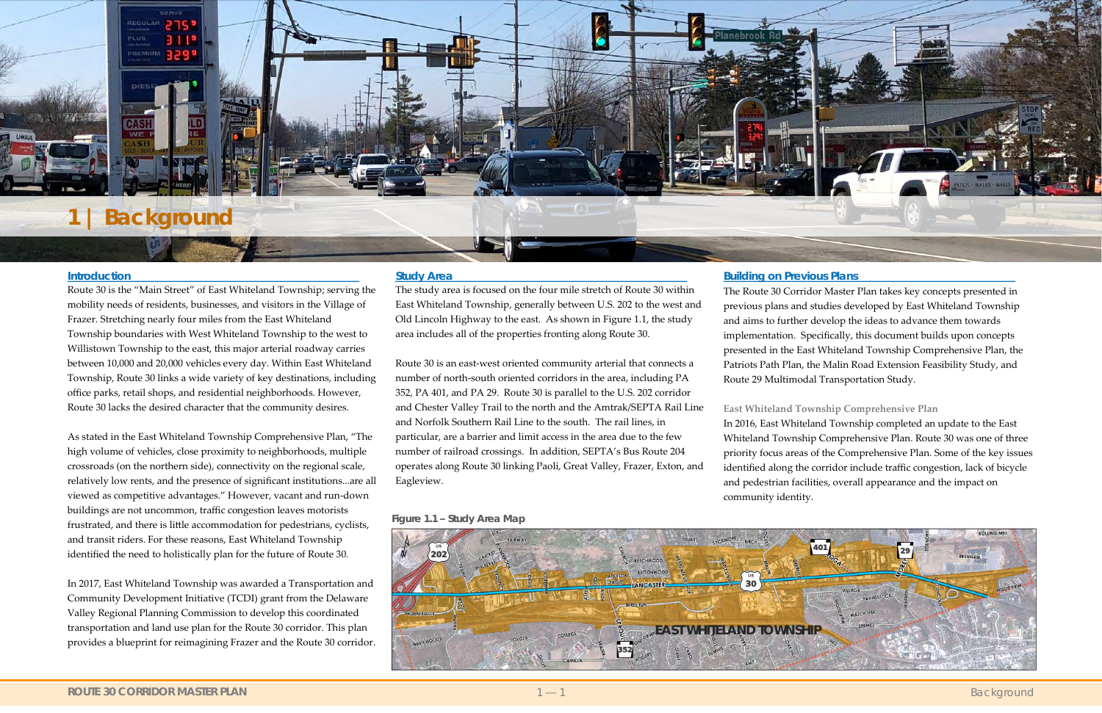#### **Introduction**

Route 30 is the "Main Street" of East Whiteland Township; serving the mobility needs of residents, businesses, and visitors in the Village of Frazer. Stretching nearly four miles from the East Whiteland Township boundaries with West Whiteland Township to the west to Willistown Township to the east, this major arterial roadway carries between 10,000 and 20,000 vehicles every day. Within East Whiteland Township, Route 30 links a wide variety of key destinations, including office parks, retail shops, and residential neighborhoods. However, Route 30 lacks the desired character that the community desires.

As stated in the East Whiteland Township Comprehensive Plan, "The high volume of vehicles, close proximity to neighborhoods, multiple crossroads (on the northern side), connectivity on the regional scale, relatively low rents, and the presence of significant institutions...are all viewed as competitive advantages." However, vacant and run-down buildings are not uncommon, traffic congestion leaves motorists frustrated, and there is little accommodation for pedestrians, cyclists, and transit riders. For these reasons, East Whiteland Township identified the need to holistically plan for the future of Route 30.

In 2017, East Whiteland Township was awarded a Transportation and Community Development Initiative (TCDI) grant from the Delaware Valley Regional Planning Commission to develop this coordinated transportation and land use plan for the Route 30 corridor. This plan provides a blueprint for reimagining Frazer and the Route 30 corridor.

#### **Study Area**

The study area is focused on the four mile stretch of Route 30 within East Whiteland Township, generally between U.S. 202 to the west and Old Lincoln Highway to the east. As shown in Figure 1.1, the study area includes all of the properties fronting along Route 30.

Route 30 is an east-west oriented community arterial that connects a number of north-south oriented corridors in the area, including PA 352, PA 401, and PA 29. Route 30 is parallel to the U.S. 202 corridor and Chester Valley Trail to the north and the Amtrak/SEPTA Rail Line and Norfolk Southern Rail Line to the south. The rail lines, in particular, are a barrier and limit access in the area due to the few number of railroad crossings. In addition, SEPTA's Bus Route 204 operates along Route 30 linking Paoli, Great Valley, Frazer, Exton, and Eagleview.

# **Building on Previous Plans**

The Route 30 Corridor Master Plan takes key concepts presented in previous plans and studies developed by East Whiteland Township and aims to further develop the ideas to advance them towards implementation. Specifically, this document builds upon concepts presented in the East Whiteland Township Comprehensive Plan, the Patriots Path Plan, the Malin Road Extension Feasibility Study, and Route 29 Multimodal Transportation Study.

**East Whiteland Township Comprehensive Plan** In 2016, East Whiteland Township completed an update to the East Whiteland Township Comprehensive Plan. Route 30 was one of three priority focus areas of the Comprehensive Plan. Some of the key issues identified along the corridor include traffic congestion, lack of bicycle and pedestrian facilities, overall appearance and the impact on community identity.

# **1 | Background**

### **Figure 1.1 – Study Area Map**



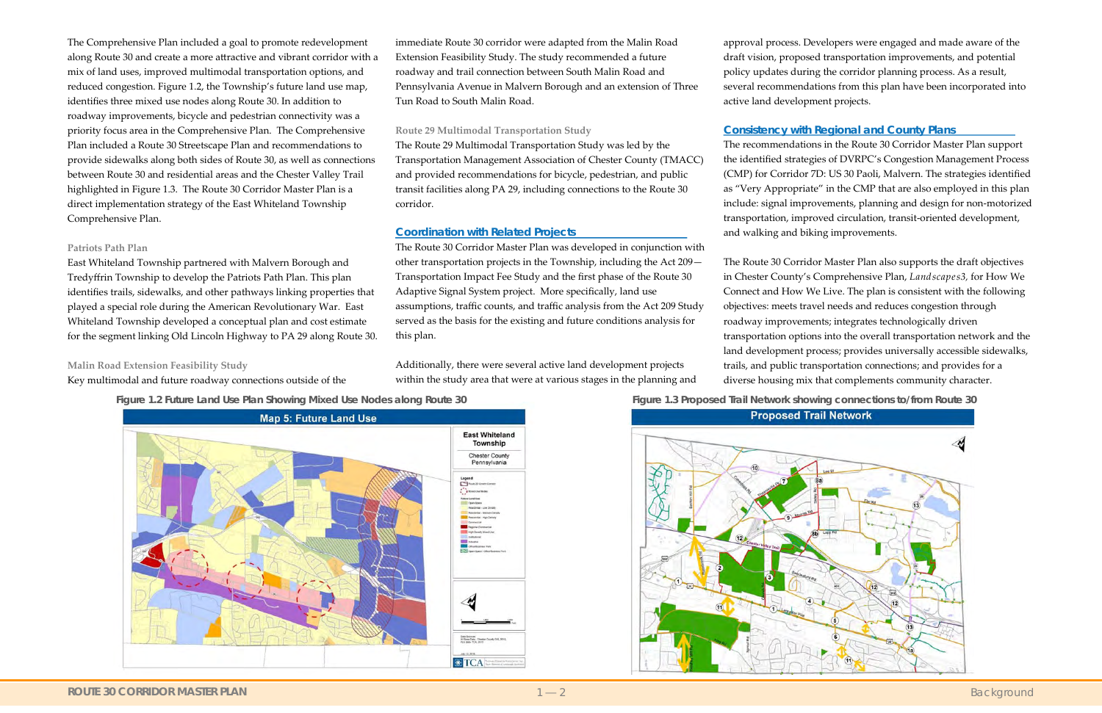The Comprehensive Plan included a goal to promote redevelopment along Route 30 and create a more attractive and vibrant corridor with a mix of land uses, improved multimodal transportation options, and reduced congestion. Figure 1.2, the Township's future land use map, identifies three mixed use nodes along Route 30. In addition to roadway improvements, bicycle and pedestrian connectivity was a priority focus area in the Comprehensive Plan. The Comprehensive Plan included a Route 30 Streetscape Plan and recommendations to provide sidewalks along both sides of Route 30, as well as connections between Route 30 and residential areas and the Chester Valley Trail highlighted in Figure 1.3. The Route 30 Corridor Master Plan is a direct implementation strategy of the East Whiteland Township Comprehensive Plan.

### **Patriots Path Plan**

East Whiteland Township partnered with Malvern Borough and Tredyffrin Township to develop the Patriots Path Plan. This plan identifies trails, sidewalks, and other pathways linking properties that played a special role during the American Revolutionary War. East Whiteland Township developed a conceptual plan and cost estimate for the segment linking Old Lincoln Highway to PA 29 along Route 30.

#### **Malin Road Extension Feasibility Study**

#### Key multimodal and future roadway connections outside of the

immediate Route 30 corridor were adapted from the Malin Road Extension Feasibility Study. The study recommended a future roadway and trail connection between South Malin Road and Pennsylvania Avenue in Malvern Borough and an extension of Three Tun Road to South Malin Road.

#### **Route 29 Multimodal Transportation Study**

The Route 29 Multimodal Transportation Study was led by the Transportation Management Association of Chester County (TMACC) and provided recommendations for bicycle, pedestrian, and public transit facilities along PA 29, including connections to the Route 30 corridor.

#### **Coordination with Related Projects**

The Route 30 Corridor Master Plan was developed in conjunction with other transportation projects in the Township, including the Act 209— Transportation Impact Fee Study and the first phase of the Route 30 Adaptive Signal System project. More specifically, land use assumptions, traffic counts, and traffic analysis from the Act 209 Study served as the basis for the existing and future conditions analysis for this plan.

Additionally, there were several active land development projects within the study area that were at various stages in the planning and approval process. Developers were engaged and made aware of the draft vision, proposed transportation improvements, and potential policy updates during the corridor planning process. As a result, several recommendations from this plan have been incorporated into active land development projects.

# **Consistency with Regional and County Plans**

The recommendations in the Route 30 Corridor Master Plan support the identified strategies of DVRPC's Congestion Management Process (CMP) for Corridor 7D: US 30 Paoli, Malvern. The strategies identified as "Very Appropriate" in the CMP that are also employed in this plan include: signal improvements, planning and design for non-motorized transportation, improved circulation, transit-oriented development, and walking and biking improvements.

The Route 30 Corridor Master Plan also supports the draft objectives in Chester County's Comprehensive Plan, *Landscapes3,* for How We Connect and How We Live. The plan is consistent with the following objectives: meets travel needs and reduces congestion through roadway improvements; integrates technologically driven transportation options into the overall transportation network and the land development process; provides universally accessible sidewalks, trails, and public transportation connections; and provides for a diverse housing mix that complements community character.





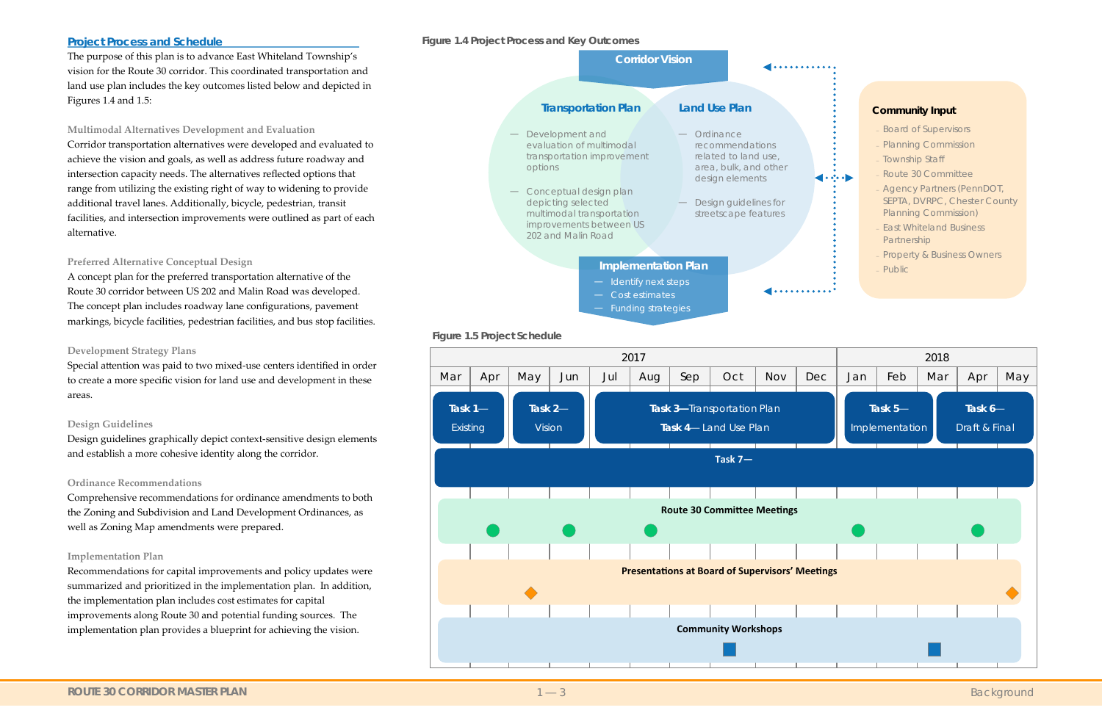### **Project Process and Schedule**

The purpose of this plan is to advance East Whiteland Township's vision for the Route 30 corridor. This coordinated transportation and land use plan includes the key outcomes listed below and depicted in Figures 1.4 and 1.5:

#### **Multimodal Alternatives Development and Evaluation**

Corridor transportation alternatives were developed and evaluated to achieve the vision and goals, as well as address future roadway and intersection capacity needs. The alternatives reflected options that range from utilizing the existing right of way to widening to provide additional travel lanes. Additionally, bicycle, pedestrian, transit facilities, and intersection improvements were outlined as part of each alternative.

### **Preferred Alternative Conceptual Design**

A concept plan for the preferred transportation alternative of the Route 30 corridor between US 202 and Malin Road was developed. The concept plan includes roadway lane configurations, pavement markings, bicycle facilities, pedestrian facilities, and bus stop facilities.

#### **Development Strategy Plans**

Special attention was paid to two mixed-use centers identified in order to create a more specific vision for land use and development in these areas.

#### **Design Guidelines**

Design guidelines graphically depict context-sensitive design elements and establish a more cohesive identity along the corridor.

#### **Ordinance Recommendations**

Comprehensive recommendations for ordinance amendments to both the Zoning and Subdivision and Land Development Ordinances, as well as Zoning Map amendments were prepared.

#### **Implementation Plan**

Recommendations for capital improvements and policy updates were summarized and prioritized in the implementation plan. In addition, the implementation plan includes cost estimates for capital improvements along Route 30 and potential funding sources. The implementation plan provides a blueprint for achieving the vision.



#### **Figure 1.5 Project Schedule**



### **Figure 1.4 Project Process and Key Outcomes**